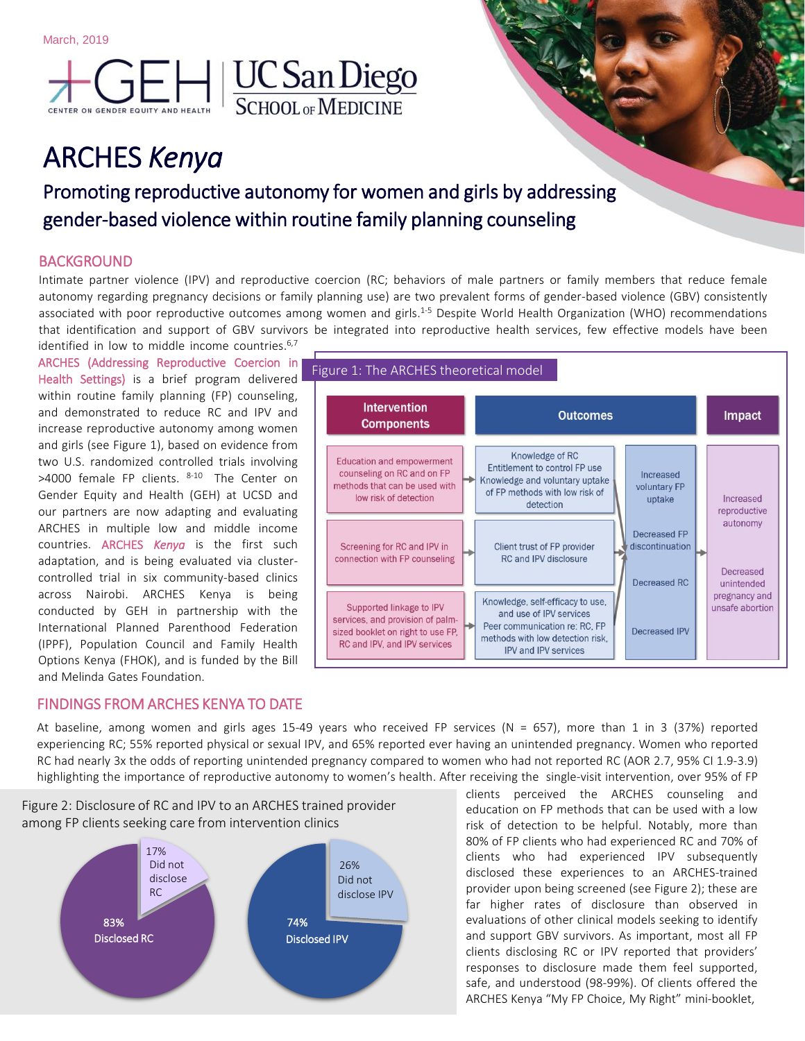

# ARCHES *Kenya*

## Promoting reproductive autonomy for women and girls by addressing gender-based violence within routine family planning counseling

#### BACKGROUND

Intimate partner violence (IPV) and reproductive coercion (RC; behaviors of male partners or family members that reduce female autonomy regarding pregnancy decisions or family planning use) are two prevalent forms of gender-based violence (GBV) consistently associated with poor reproductive outcomes among women and girls.<sup>1-5</sup> Despite World Health Organization (WHO) recommendations that identification and support of GBV survivors be integrated into reproductive health services, few effective models have been identified in low to middle income countries.<sup>6,7</sup>

Figure 1: The ARCHES theoretical model

ARCHES (Addressing Reproductive Coercion in Health Settings) is a brief program delivered within routine family planning (FP) counseling, and demonstrated to reduce RC and IPV and increase reproductive autonomy among women and girls (see Figure 1), based on evidence from two U.S. randomized controlled trials involving >4000 female FP clients. <sup>8-10</sup> The Center on Gender Equity and Health (GEH) at UCSD and our partners are now adapting and evaluating ARCHES in multiple low and middle income countries. ARCHES *Kenya* is the first such adaptation, and is being evaluated via clustercontrolled trial in six community-based clinics across Nairobi. ARCHES Kenya is being conducted by GEH in partnership with the International Planned Parenthood Federation (IPPF), Population Council and Family Health Options Kenya (FHOK), and is funded by the Bill and Melinda Gates Foundation.

#### **Intervention Outcomes** Impact **Components** Knowledge of RC **Education and empowerment** Entitlement to control FP use counseling on RC and on FP Increased Knowledge and voluntary uptake methods that can be used with voluntary FP of FP methods with low risk of low risk of detection uptake Increased detection reproductive autonomy Decreased FP Screening for RC and IPV in Client trust of FP provider discontinuation connection with FP counseling RC and IPV disclosure Decreased Decreased RC unintended pregnancy and Knowledge, self-efficacy to use, Supported linkage to IPV unsafe abortion and use of IPV services services, and provision of palm-Peer communication re: RC, FP sized booklet on right to use FP, Decreased IPV methods with low detection risk. RC and IPV, and IPV services IPV and IPV services

#### FINDINGS FROM ARCHES KENYA TO DATE

At baseline, among women and girls ages 15-49 years who received FP services (N = 657), more than 1 in 3 (37%) reported experiencing RC; 55% reported physical or sexual IPV, and 65% reported ever having an unintended pregnancy. Women who reported RC had nearly 3x the odds of reporting unintended pregnancy compared to women who had not reported RC (AOR 2.7, 95% CI 1.9-3.9) highlighting the importance of reproductive autonomy to women's health. After receiving the single-visit intervention, over 95% of FP

Figure 2: Disclosure of RC and IPV to an ARCHES trained provider among FP clients seeking care from intervention clinics



clients perceived the ARCHES counseling and education on FP methods that can be used with a low risk of detection to be helpful. Notably, more than 80% of FP clients who had experienced RC and 70% of clients who had experienced IPV subsequently disclosed these experiences to an ARCHES-trained provider upon being screened (see Figure 2); these are far higher rates of disclosure than observed in evaluations of other clinical models seeking to identify and support GBV survivors. As important, most all FP clients disclosing RC or IPV reported that providers' responses to disclosure made them feel supported, safe, and understood (98-99%). Of clients offered the ARCHES Kenya "My FP Choice, My Right" mini-booklet,